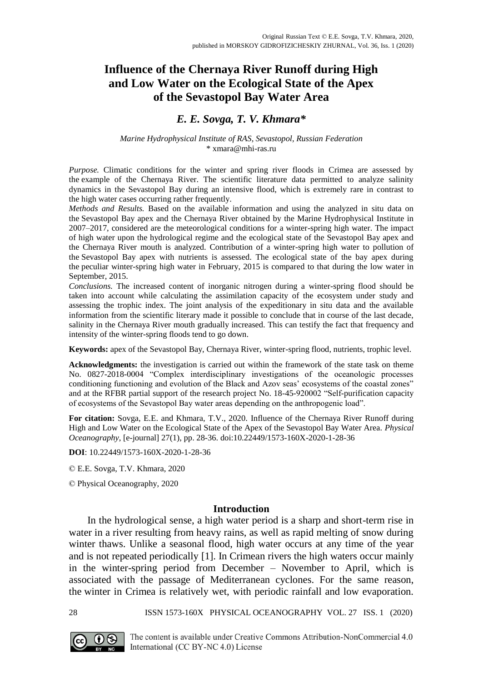# **Influence of the Chernaya River Runoff during High and Low Water on the Ecological State of the Apex of the Sevastopol Bay Water Area**

## *E. E. Sovga, T. V. Khmara\**

### *Marine Hydrophysical Institute of RAS, Sevastopol, Russian Federation* [\\* xmara@mhi-ras.ru](mailto:xmara@mhi-ras.ru)

*Purpose.* Climatic conditions for the winter and spring river floods in Crimea are assessed by the example of the Chernaya River. The scientific literature data permitted to analyze salinity dynamics in the Sevastopol Bay during an intensive flood, which is extremely rare in contrast to the high water cases occurring rather frequently.

*Methods and Results.* Based on the available information and using the analyzed in situ data on the Sevastopol Bay apex and the Chernaya River obtained by the Marine Hydrophysical Institute in 2007–2017, considered are the meteorological conditions for a winter-spring high water. The impact of high water upon the hydrological regime and the ecological state of the Sevastopol Bay apex and the Chernaya River mouth is analyzed. Contribution of a winter-spring high water to pollution of the Sevastopol Bay apex with nutrients is assessed. The ecological state of the bay apex during the peculiar winter-spring high water in February, 2015 is compared to that during the low water in September, 2015.

*Conclusions.* The increased content of inorganic nitrogen during a winter-spring flood should be taken into account while calculating the assimilation capacity of the ecosystem under study and assessing the trophic index. The joint analysis of the expeditionary in situ data and the available information from the scientific literary made it possible to conclude that in course of the last decade, salinity in the Chernaya River mouth gradually increased. This can testify the fact that frequency and intensity of the winter-spring floods tend to go down.

**Keywords:** apex of the Sevastopol Bay, Chernaya River, winter-spring flood, nutrients, trophic level.

**Acknowledgments:** the investigation is carried out within the framework of the state task on theme No. 0827-2018-0004 "Complex interdisciplinary investigations of the oceanologic processes conditioning functioning and evolution of the Black and Azov seas' ecosystems of the coastal zones" and at the RFBR partial support of the research project No. 18-45-920002 "Self-purification capacity of ecosystems of the Sevastopol Bay water areas depending on the anthropogenic load".

**For citation:** Sovga, E.E. and Khmara, T.V., 2020. Influence of the Chernaya River Runoff during High and Low Water on the Ecological State of the Apex of the Sevastopol Bay Water Area. *Physical Oceanography*, [e-journal] 27(1), pp. 28-36. doi:10.22449/1573-160X-2020-1-28-36

**DOI**: 10.22449/1573-160X-2020-1-28-36

© E.E. Sovga, T.V. Khmara, 2020

© Physical Oceanography, 2020

## **Introduction**

In the hydrological sense, a high water period is a sharp and short-term rise in water in a river resulting from heavy rains, as well as rapid melting of snow during winter thaws. Unlike a seasonal flood, high water occurs at any time of the year and is not repeated periodically [1]. In Crimean rivers the high waters occur mainly in the winter-spring period from December – November to April, which is associated with the passage of Mediterranean cyclones. For the same reason, the winter in Crimea is relatively wet, with periodic rainfall and low evaporation.

28 ISSN 1573-160X PHYSICAL OCEANOGRAPHY VOL. 27 ISS. 1 (2020)

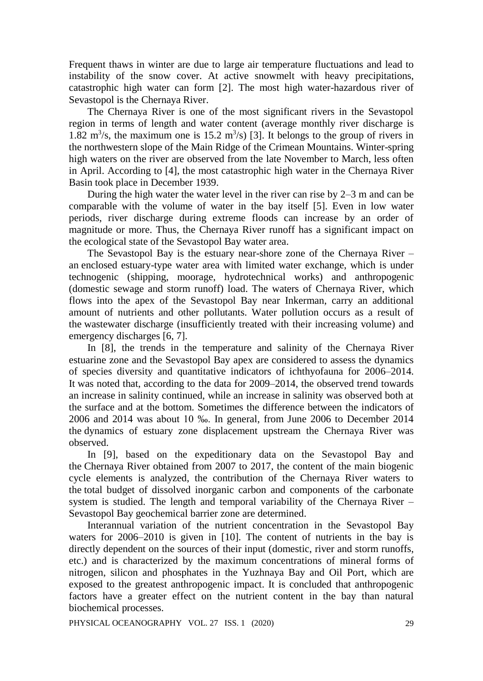Frequent thaws in winter are due to large air temperature fluctuations and lead to instability of the snow cover. At active snowmelt with heavy precipitations, catastrophic high water can form [2]. The most high water-hazardous river of Sevastopol is the Chernaya River.

The Chernaya River is one of the most significant rivers in the Sevastopol region in terms of length and water content (average monthly river discharge is 1.82 m<sup>3</sup>/s, the maximum one is 15.2 m<sup>3</sup>/s) [3]. It belongs to the group of rivers in the northwestern slope of the Main Ridge of the Crimean Mountains. Winter-spring high waters on the river are observed from the late November to March, less often in April. According to [4], the most catastrophic high water in the Chernaya River Basin took place in December 1939.

During the high water the water level in the river can rise by 2–3 m and can be comparable with the volume of water in the bay itself [5]. Even in low water periods, river discharge during extreme floods can increase by an order of magnitude or more. Thus, the Chernaya River runoff has a significant impact on the ecological state of the Sevastopol Bay water area.

The Sevastopol Bay is the estuary near-shore zone of the Chernaya River – an enclosed estuary-type water area with limited water exchange, which is under technogenic (shipping, moorage, hydrotechnical works) and anthropogenic (domestic sewage and storm runoff) load. The waters of Chernaya River, which flows into the apex of the Sevastopol Bay near Inkerman, carry an additional amount of nutrients and other pollutants. Water pollution occurs as a result of the wastewater discharge (insufficiently treated with their increasing volume) and emergency discharges [6, 7].

In [8], the trends in the temperature and salinity of the Chernaya River estuarine zone and the Sevastopol Bay apex are considered to assess the dynamics of species diversity and quantitative indicators of ichthyofauna for 2006–2014. It was noted that, according to the data for 2009–2014, the observed trend towards an increase in salinity continued, while an increase in salinity was observed both at the surface and at the bottom. Sometimes the difference between the indicators of 2006 and 2014 was about 10 ‰. In general, from June 2006 to December 2014 the dynamics of estuary zone displacement upstream the Chernaya River was observed.

In [9], based on the expeditionary data on the Sevastopol Bay and the Chernaya River obtained from 2007 to 2017, the content of the main biogenic cycle elements is analyzed, the contribution of the Chernaya River waters to the total budget of dissolved inorganic carbon and components of the carbonate system is studied. The length and temporal variability of the Chernaya River – Sevastopol Bay geochemical barrier zone are determined.

Interannual variation of the nutrient concentration in the Sevastopol Bay waters for 2006–2010 is given in [10]. The content of nutrients in the bay is directly dependent on the sources of their input (domestic, river and storm runoffs, etc.) and is characterized by the maximum concentrations of mineral forms of nitrogen, silicon and phosphates in the Yuzhnaya Bay and Oil Port, which are exposed to the greatest anthropogenic impact. It is concluded that anthropogenic factors have a greater effect on the nutrient content in the bay than natural biochemical processes.

PHYSICAL OCEANOGRAPHY VOL. 27 ISS. 1 (2020) 29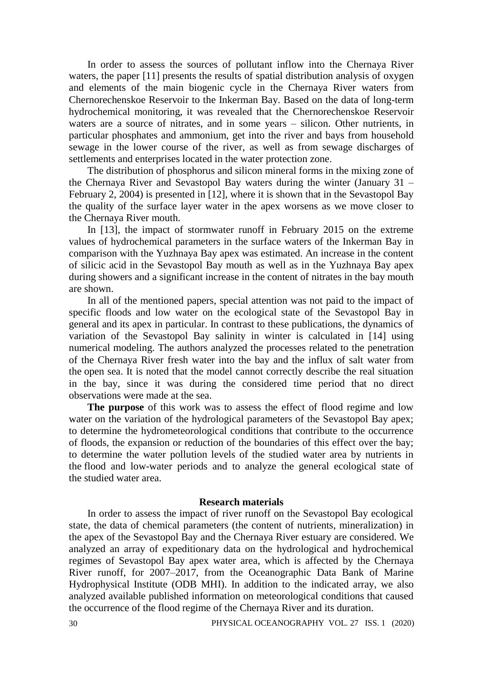In order to assess the sources of pollutant inflow into the Chernaya River waters, the paper [11] presents the results of spatial distribution analysis of oxygen and elements of the main biogenic cycle in the Chernaya River waters from Chernorechenskoe Reservoir to the Inkerman Bay. Based on the data of long-term hydrochemical monitoring, it was revealed that the Chernorechenskoe Reservoir waters are a source of nitrates, and in some years – silicon. Other nutrients, in particular phosphates and ammonium, get into the river and bays from household sewage in the lower course of the river, as well as from sewage discharges of settlements and enterprises located in the water protection zone.

The distribution of phosphorus and silicon mineral forms in the mixing zone of the Chernaya River and Sevastopol Bay waters during the winter (January 31 – February 2, 2004) is presented in [12], where it is shown that in the Sevastopol Bay the quality of the surface layer water in the apex worsens as we move closer to the Chernaya River mouth.

In [13], the impact of stormwater runoff in February 2015 on the extreme values of hydrochemical parameters in the surface waters of the Inkerman Bay in comparison with the Yuzhnaya Bay apex was estimated. An increase in the content of silicic acid in the Sevastopol Bay mouth as well as in the Yuzhnaya Bay apex during showers and a significant increase in the content of nitrates in the bay mouth are shown.

In all of the mentioned papers, special attention was not paid to the impact of specific floods and low water on the ecological state of the Sevastopol Bay in general and its apex in particular. In contrast to these publications, the dynamics of variation of the Sevastopol Bay salinity in winter is calculated in [14] using numerical modeling. The authors analyzed the processes related to the penetration of the Chernaya River fresh water into the bay and the influx of salt water from the open sea. It is noted that the model cannot correctly describe the real situation in the bay, since it was during the considered time period that no direct observations were made at the sea.

**The purpose** of this work was to assess the effect of flood regime and low water on the variation of the hydrological parameters of the Sevastopol Bay apex; to determine the hydrometeorological conditions that contribute to the occurrence of floods, the expansion or reduction of the boundaries of this effect over the bay; to determine the water pollution levels of the studied water area by nutrients in the flood and low-water periods and to analyze the general ecological state of the studied water area.

#### **Research materials**

In order to assess the impact of river runoff on the Sevastopol Bay ecological state, the data of chemical parameters (the content of nutrients, mineralization) in the apex of the Sevastopol Bay and the Chernaya River estuary are considered. We analyzed an array of expeditionary data on the hydrological and hydrochemical regimes of Sevastopol Bay apex water area, which is affected by the Chernaya River runoff, for 2007–2017, from the Oceanographic Data Bank of Marine Hydrophysical Institute (ODB MHI). In addition to the indicated array, we also analyzed available published information on meteorological conditions that caused the occurrence of the flood regime of the Chernaya River and its duration.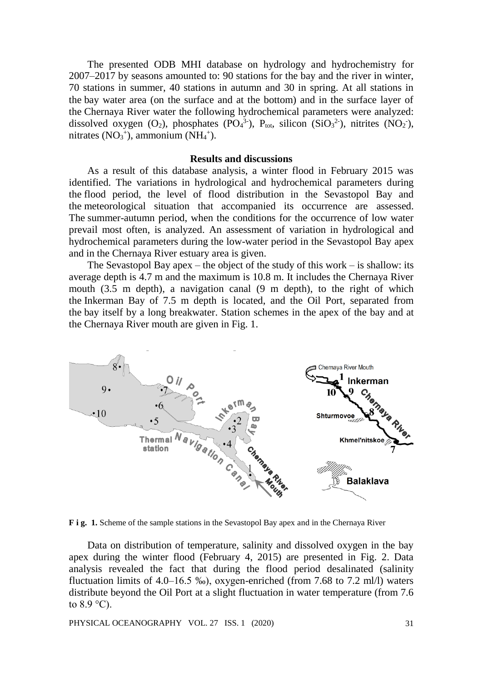The presented ODB MHI database on hydrology and hydrochemistry for 2007–2017 by seasons amounted to: 90 stations for the bay and the river in winter, 70 stations in summer, 40 stations in autumn and 30 in spring. At all stations in the bay water area (on the surface and at the bottom) and in the surface layer of the Chernaya River water the following hydrochemical parameters were analyzed: dissolved oxygen (O<sub>2</sub>), phosphates (PO<sub>4</sub><sup>3-</sup>), P<sub>tot</sub>, silicon (SiO<sub>3</sub><sup>2-</sup>), nitrites (NO<sub>2</sub><sup>-</sup>), nitrates  $(NO<sub>3</sub><sup>+</sup>)$ , ammonium  $(NH<sub>4</sub><sup>+</sup>)$ .

### **Results and discussions**

As a result of this database analysis, a winter flood in February 2015 was identified. The variations in hydrological and hydrochemical parameters during the flood period, the level of flood distribution in the Sevastopol Bay and the meteorological situation that accompanied its occurrence are assessed. The summer-autumn period, when the conditions for the occurrence of low water prevail most often, is analyzed. An assessment of variation in hydrological and hydrochemical parameters during the low-water period in the Sevastopol Bay apex and in the Chernaya River estuary area is given.

The Sevastopol Bay apex – the object of the study of this work – is shallow: its average depth is 4.7 m and the maximum is 10.8 m. It includes the Chernaya River mouth (3.5 m depth), a navigation canal (9 m depth), to the right of which the Inkerman Bay of 7.5 m depth is located, and the Oil Port, separated from the bay itself by a long breakwater. Station schemes in the apex of the bay and at the Chernaya River mouth are given in Fig. 1.



**F i g. 1.** Scheme of the sample stations in the Sevastopol Bay apex and in the Chernaya River

Data on distribution of temperature, salinity and dissolved oxygen in the bay apex during the winter flood (February 4, 2015) are presented in Fig. 2. Data analysis revealed the fact that during the flood period desalinated (salinity fluctuation limits of 4.0–16.5 ‰), oxygen-enriched (from 7.68 to 7.2 ml/l) waters distribute beyond the Oil Port at a slight fluctuation in water temperature (from 7.6 to  $8.9^{\circ}$ C).

PHYSICAL OCEANOGRAPHY VOL. 27 ISS. 1 (2020) 31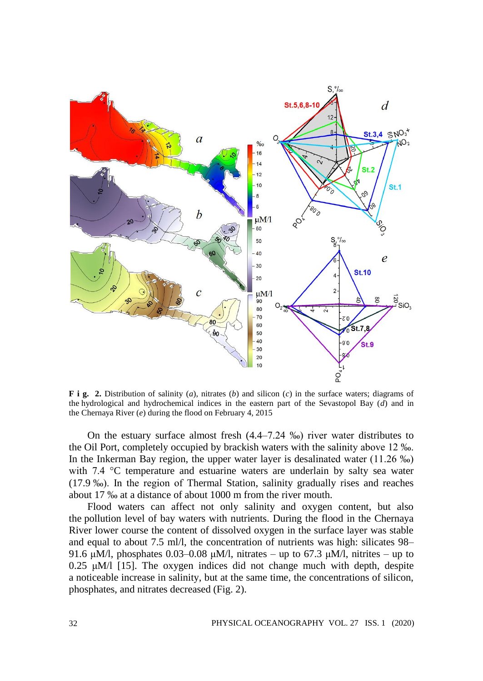

**F i g. 2.** Distribution of salinity (*a*), nitrates (*b*) and silicon (*c*) in the surface waters; diagrams of the hydrological and hydrochemical indices in the eastern part of the Sevastopol Bay (*d*) and in the Chernaya River (*e*) during the flood on February 4, 2015

On the estuary surface almost fresh (4.4–7.24 ‰) river water distributes to the Oil Port, completely occupied by brackish waters with the salinity above 12 ‰. In the Inkerman Bay region, the upper water layer is desalinated water (11.26 ‰) with 7.4 °C temperature and estuarine waters are underlain by salty sea water (17.9 ‰). In the region of Thermal Station, salinity gradually rises and reaches about 17 ‰ at a distance of about 1000 m from the river mouth.

Flood waters can affect not only salinity and oxygen content, but also the pollution level of bay waters with nutrients. During the flood in the Chernaya River lower course the content of dissolved oxygen in the surface layer was stable and equal to about 7.5 ml/l, the concentration of nutrients was high: silicates 98– 91.6 μM/l, phosphates 0.03–0.08 μM/l, nitrates – up to 67.3 μM/l, nitrites – up to 0.25 μM/l [15]. The oxygen indices did not change much with depth, despite a noticeable increase in salinity, but at the same time, the concentrations of silicon, phosphates, and nitrates decreased (Fig. 2).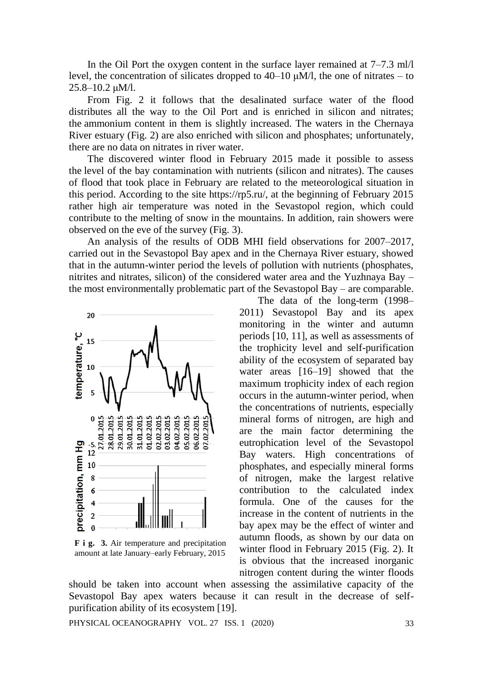In the Oil Port the oxygen content in the surface layer remained at 7–7.3 ml/l level, the concentration of silicates dropped to 40–10 μM/l, the one of nitrates – to 25.8–10.2 μM/l.

From Fig. 2 it follows that the desalinated surface water of the flood distributes all the way to the Oil Port and is enriched in silicon and nitrates; the ammonium content in them is slightly increased. The waters in the Chernaya River estuary (Fig. 2) are also enriched with silicon and phosphates; unfortunately, there are no data on nitrates in river water.

The discovered winter flood in February 2015 made it possible to assess the level of the bay contamination with nutrients (silicon and nitrates). The causes of flood that took place in February are related to the meteorological situation in this period. According to the site https://rp5.ru/, at the beginning of February 2015 rather high air temperature was noted in the Sevastopol region, which could contribute to the melting of snow in the mountains. In addition, rain showers were observed on the eve of the survey (Fig. 3).

An analysis of the results of ODB MHI field observations for 2007–2017, carried out in the Sevastopol Bay apex and in the Chernaya River estuary, showed that in the autumn-winter period the levels of pollution with nutrients (phosphates, nitrites and nitrates, silicon) of the considered water area and the Yuzhnaya Bay – the most environmentally problematic part of the Sevastopol Bay – are comparable.



**F i g. 3.** Air temperature and precipitation amount at late January–early February, 2015

The data of the long-term (1998– 2011) Sevastopol Bay and its apex monitoring in the winter and autumn periods [10, 11], as well as assessments of the trophicity level and self-purification ability of the ecosystem of separated bay water areas [16–19] showed that the maximum trophicity index of each region occurs in the autumn-winter period, when the concentrations of nutrients, especially mineral forms of nitrogen, are high and are the main factor determining the eutrophication level of the Sevastopol Bay waters. High concentrations of phosphates, and especially mineral forms of nitrogen, make the largest relative contribution to the calculated index formula. One of the causes for the increase in the content of nutrients in the bay apex may be the effect of winter and autumn floods, as shown by our data on winter flood in February 2015 (Fig. 2). It is obvious that the increased inorganic nitrogen content during the winter floods

should be taken into account when assessing the assimilative capacity of the Sevastopol Bay apex waters because it can result in the decrease of selfpurification ability of its ecosystem [19].

PHYSICAL OCEANOGRAPHY VOL. 27 ISS. 1 (2020) 33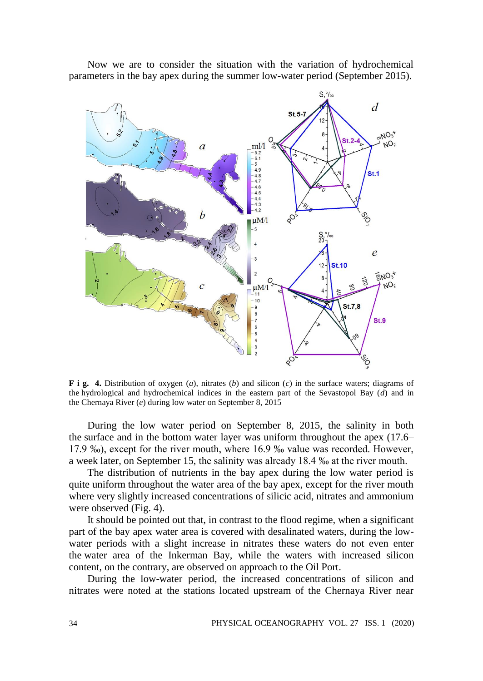Now we are to consider the situation with the variation of hydrochemical parameters in the bay apex during the summer low-water period (September 2015).



**F i g. 4.** Distribution of oxygen (*a*), nitrates (*b*) and silicon (*c*) in the surface waters; diagrams of the hydrological and hydrochemical indices in the eastern part of the Sevastopol Bay (*d*) and in the Chernaya River (*e*) during low water on September 8, 2015

During the low water period on September 8, 2015, the salinity in both the surface and in the bottom water layer was uniform throughout the apex (17.6– 17.9 ‰), except for the river mouth, where 16.9 ‰ value was recorded. However, a week later, on September 15, the salinity was already 18.4 ‰ at the river mouth.

The distribution of nutrients in the bay apex during the low water period is quite uniform throughout the water area of the bay apex, except for the river mouth where very slightly increased concentrations of silicic acid, nitrates and ammonium were observed (Fig. 4).

It should be pointed out that, in contrast to the flood regime, when a significant part of the bay apex water area is covered with desalinated waters, during the lowwater periods with a slight increase in nitrates these waters do not even enter the water area of the Inkerman Bay, while the waters with increased silicon content, on the contrary, are observed on approach to the Oil Port.

During the low-water period, the increased concentrations of silicon and nitrates were noted at the stations located upstream of the Chernaya River near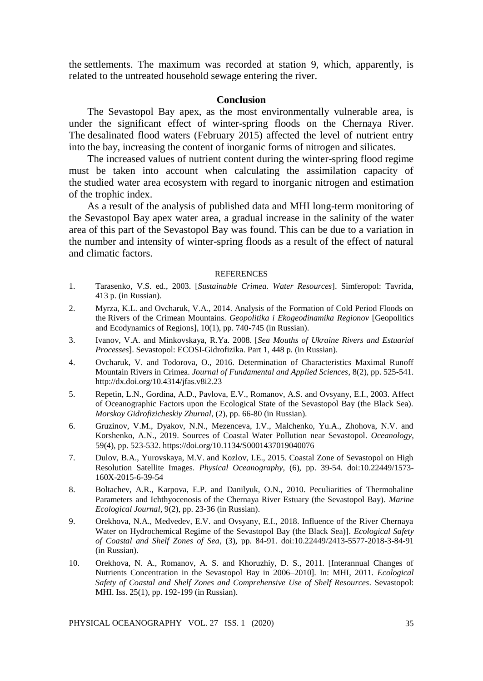the settlements. The maximum was recorded at station 9, which, apparently, is related to the untreated household sewage entering the river.

## **Conclusion**

The Sevastopol Bay apex, as the most environmentally vulnerable area, is under the significant effect of winter-spring floods on the Chernaya River. The desalinated flood waters (February 2015) affected the level of nutrient entry into the bay, increasing the content of inorganic forms of nitrogen and silicates.

The increased values of nutrient content during the winter-spring flood regime must be taken into account when calculating the assimilation capacity of the studied water area ecosystem with regard to inorganic nitrogen and estimation of the trophic index.

As a result of the analysis of published data and MHI long-term monitoring of the Sevastopol Bay apex water area, a gradual increase in the salinity of the water area of this part of the Sevastopol Bay was found. This can be due to a variation in the number and intensity of winter-spring floods as a result of the effect of natural and climatic factors.

#### **REFERENCES**

- 1. Tarasenko, V.S. ed., 2003. [*Sustainable Crimea. Water Resources*]. Simferopol: Tavrida, 413 p. (in Russian).
- 2. Myrza, K.L. and Ovcharuk, V.A., 2014. Analysis of the Formation of Cold Period Floods on the Rivers of the Crimean Mountains. *Geopolitika i Ekogeodinamika Regionov* [Geopolitics and Ecodynamics of Regions], 10(1), pp. 740-745 (in Russian).
- 3. Ivanov, V.A. and Minkovskaya, R.Ya. 2008. [*Sea Mouths of Ukraine Rivers and Estuarial Processes*]. Sevastopol: ECOSI-Gidrofizika. Part 1, 448 p. (in Russian).
- 4. Ovcharuk, V. and Todorova, O., 2016. Determination of Characteristics Maximal Runoff Mountain Rivers in Crimea. *Journal of Fundamental and Applied Sciences*, 8(2), pp. 525-541. <http://dx.doi.org/10.4314/jfas.v8i2.23>
- 5. Repetin, L.N., Gordina, A.D., Pavlova, E.V., Romanov, A.S. and Ovsyany, E.I., 2003. Affect of Oceanographic Factors upon the Ecological State of the Sevastopol Bay (the Black Sea). *Morskoy Gidrofizicheskiy Zhurnal*, (2), pp. 66-80 (in Russian).
- 6. Gruzinov, V.M., Dyakov, N.N., Mezenceva, I.V., Malchenko, Yu.A., Zhohova, N.V. and Korshenko, A.N., 2019. Sources of Coastal Water Pollution near Sevastopol. *Oceanology*, 59(4), pp. 523-532. https://doi.org/10.1134/S0001437019040076
- 7. Dulov, B.A., Yurovskaya, M.V. and Kozlov, I.E., 2015. Coastal Zone of Sevastopol on High Resolution Satellite Images. *Physical Oceanography*, (6), pp. 39-54. doi:10.22449/1573- 160X-2015-6-39-54
- 8. Boltachev, A.R., Karpova, E.P. and Danilyuk, O.N., 2010. Peculiarities of Thermohaline Parameters and Ichthyocenosis of the Chernaya River Estuary (the Sevastopol Bay). *Marine Ecological Journal*, 9(2), pp. 23-36 (in Russian).
- 9. Orekhova, N.A., Medvedev, E.V. and Ovsyany, E.I., 2018. Influence of the River Chernaya Water on Hydrochemical Regime of the Sevastopol Bay (the Black Sea)]. *Ecological Safety of Coastal and Shelf Zones of Sea*, (3), pp. 84-91. doi:10.22449/2413-5577-2018-3-84-91 (in Russian).
- 10. Orekhova, N. A., Romanov, A. S. and Khoruzhiy, D. S., 2011. [Interannual Changes of Nutrients Concentration in the Sevastopol Bay in 2006–2010]. In: MHI, 2011. *Ecological Safety of Coastal and Shelf Zones and Comprehensive Use of Shelf Resources*. Sevastopol: MHI. Iss. 25(1), pp. 192-199 (in Russian).